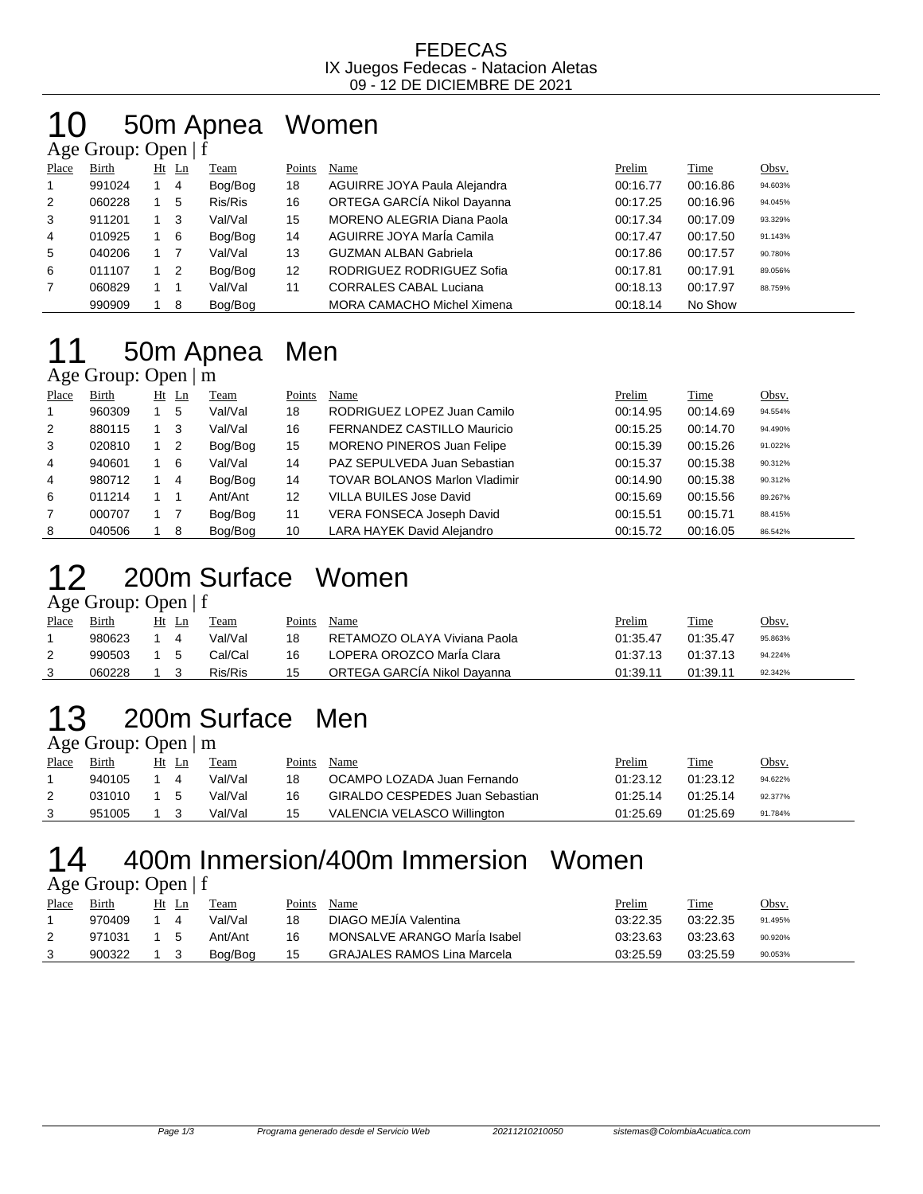# 50m Apnea Women

|              | Age Group: Open $ f $ |  |                |         |        |                                   |          |          |         |  |  |  |
|--------------|-----------------------|--|----------------|---------|--------|-----------------------------------|----------|----------|---------|--|--|--|
| Place        | Birth                 |  | $Ht$ Ln        | Team    | Points | Name                              | Prelim   | Time     | Obsv.   |  |  |  |
| $\mathbf{1}$ | 991024                |  | 4              | Bog/Bog | 18     | AGUIRRE JOYA Paula Alejandra      | 00:16.77 | 00:16.86 | 94.603% |  |  |  |
| 2            | 060228                |  | 5              | Ris/Ris | 16     | ORTEGA GARCÍA Nikol Dayanna       | 00:17.25 | 00:16.96 | 94.045% |  |  |  |
| 3            | 911201                |  | $_{3}$         | Val/Val | 15     | <b>MORENO ALEGRIA Diana Paola</b> | 00:17.34 | 00:17.09 | 93.329% |  |  |  |
| 4            | 010925                |  | -6             | Bog/Bog | 14     | AGUIRRE JOYA Maria Camila         | 00:17.47 | 00:17.50 | 91.143% |  |  |  |
| 5            | 040206                |  |                | Val/Val | 13     | <b>GUZMAN ALBAN Gabriela</b>      | 00:17.86 | 00:17.57 | 90.780% |  |  |  |
| 6            | 011107                |  | $\overline{2}$ | Bog/Bog | 12     | RODRIGUEZ RODRIGUEZ Sofia         | 00:17.81 | 00:17.91 | 89.056% |  |  |  |
| 7            | 060829                |  | $\blacksquare$ | Val/Val | 11     | <b>CORRALES CABAL Luciana</b>     | 00:18.13 | 00:17.97 | 88.759% |  |  |  |
|              | 990909                |  | 8              | Bog/Bog |        | MORA CAMACHO Michel Ximena        | 00:18.14 | No Show  |         |  |  |  |

### 50m Apnea Men  $\overrightarrow{Age}$  Group: Open  $\overrightarrow{lm}$

| $1.50$ Oroup. Open $1.01$ |              |     |                            |         |        |                                      |          |          |         |  |  |  |
|---------------------------|--------------|-----|----------------------------|---------|--------|--------------------------------------|----------|----------|---------|--|--|--|
| Place                     | <b>Birth</b> |     | $Ht$ Ln                    | Team    | Points | Name                                 | Prelim   | Time     | Obsv.   |  |  |  |
|                           | 960309       |     | 5                          | Val/Val | 18     | RODRIGUEZ LOPEZ Juan Camilo          | 00:14.95 | 00:14.69 | 94.554% |  |  |  |
| 2                         | 880115       |     | -3                         | Val/Val | 16     | FERNANDEZ CASTILLO Mauricio          | 00:15.25 | 00:14.70 | 94.490% |  |  |  |
| 3                         | 020810       |     | $\overline{\phantom{0}}^2$ | Bog/Bog | 15     | MORENO PINEROS Juan Felipe           | 00:15.39 | 00:15.26 | 91.022% |  |  |  |
| 4                         | 940601       | 1 6 |                            | Val/Val | 14     | PAZ SEPULVEDA Juan Sebastian         | 00:15.37 | 00:15.38 | 90.312% |  |  |  |
| 4                         | 980712       |     | 4                          | Bog/Bog | 14     | <b>TOVAR BOLANOS Marlon Vladimir</b> | 00:14.90 | 00:15.38 | 90.312% |  |  |  |
| 6                         | 011214       |     |                            | Ant/Ant | 12     | <b>VILLA BUILES Jose David</b>       | 00:15.69 | 00:15.56 | 89.267% |  |  |  |
| $\overline{7}$            | 000707       |     |                            | Bog/Bog | 11     | VERA FONSECA Joseph David            | 00:15.51 | 00:15.71 | 88.415% |  |  |  |
| 8                         | 040506       | 1 8 |                            | Bog/Bog | 10     | LARA HAYEK David Alejandro           | 00:15.72 | 00:16.05 | 86.542% |  |  |  |

## 200m Surface Women

#### Age Group: Open | f

| Place | Birth  | Ht  | Ln | Team    | Points | Name                         | Prelim   | Time     | Obsv.   |
|-------|--------|-----|----|---------|--------|------------------------------|----------|----------|---------|
|       | 980623 |     |    | Val/Val | 18     | RETAMOZO OLAYA Viviana Paola | 01:35.47 | 01:35.47 | 95.863% |
| 2     | 990503 | 1 5 |    | Cal/Cal | 16     | LOPERA OROZCO María Clara    | 01:37.13 | 01:37.13 | 94.224% |
|       | 060228 |     |    | Ris/Ris | 15     | ORTEGA GARCÍA Nikol Dayanna  | 01:39.11 | 01:39.11 | 92.342% |
|       |        |     |    |         |        |                              |          |          |         |

## 200m Surface Men

Age Group: Open | m

| Place | <b>Birth</b> | Ht Ln | Team    | Points | Name                            | <b>Prelim</b> | <b>Time</b> | <u>Obsv.</u> |
|-------|--------------|-------|---------|--------|---------------------------------|---------------|-------------|--------------|
|       | 940105       | 4     | Val/Val | 18     | OCAMPO LOZADA Juan Fernando     | 01:23.12      | 01:23.12    | 94.622%      |
|       | 031010       | - 5   | Val/Val | 16     | GIRALDO CESPEDES Juan Sebastian | 01:25.14      | 01:25.14    | 92.377%      |
|       | 951005       |       | Val/Val | 15     | VALENCIA VELASCO Willington     | 01:25.69      | 01:25.69    | 91.784%      |

### 400m Inmersion/400m Immersion Women

Age Group: Open | f

| Place | Birth  | Ht | Ln | Team    | Points | Name                               | Prelim   | Time     | Obsv.   |
|-------|--------|----|----|---------|--------|------------------------------------|----------|----------|---------|
|       | 970409 |    |    | Val/Val | 18     | DIAGO MEJIA Valentina              | 03:22.35 | 03:22.35 | 91.495% |
|       | 971031 |    |    | Ant/Ant | 16     | MONSALVE ARANGO Marla Isabel       | 03.23.63 | 03:23.63 | 90.920% |
|       | 900322 |    |    | Boa/Boa | 15     | <b>GRAJALES RAMOS Lina Marcela</b> | 03:25.59 | 03:25.59 | 90.053% |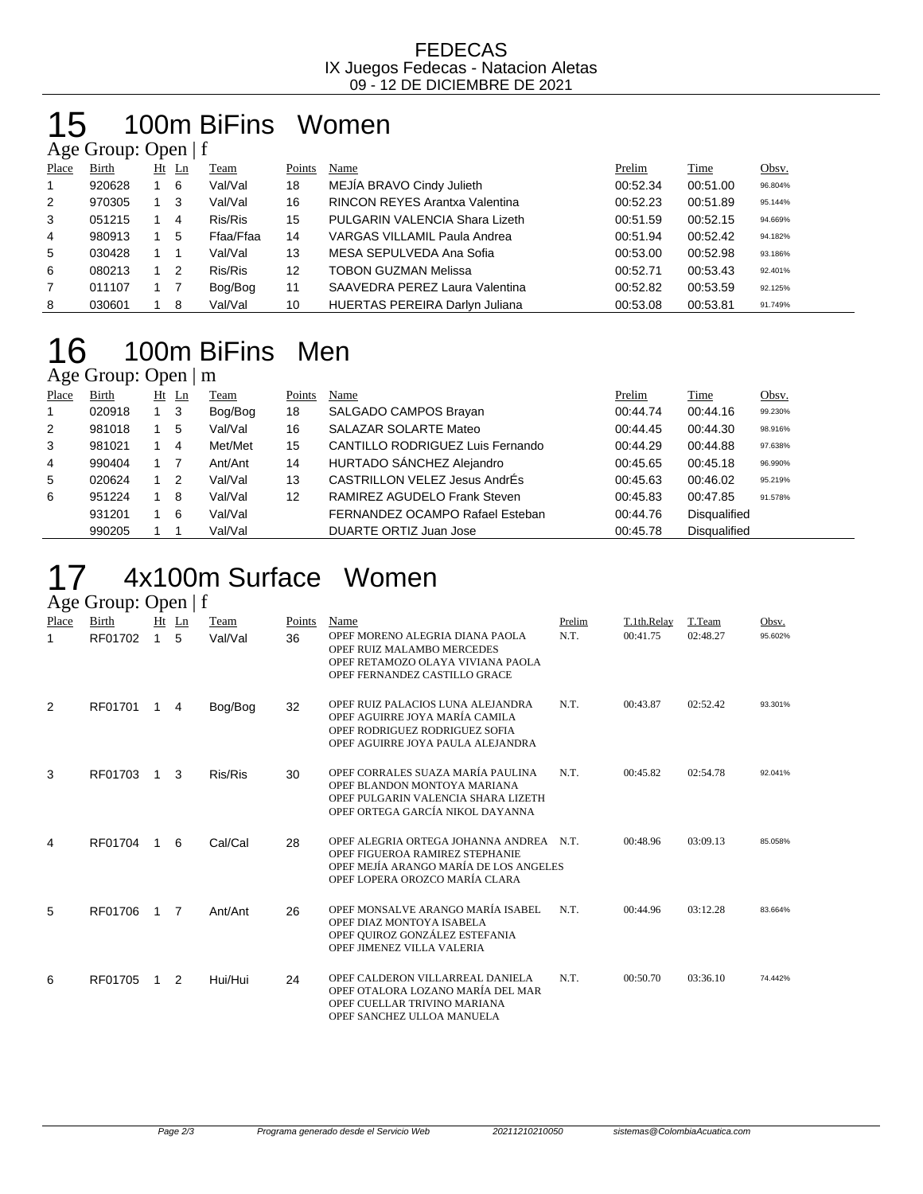# 15 100m BiFins Women

| Age Group: Open $ f $ |        |  |         |           |        |                                       |          |          |         |  |  |
|-----------------------|--------|--|---------|-----------|--------|---------------------------------------|----------|----------|---------|--|--|
| Place                 | Birth  |  | $Ht$ Ln | Team      | Points | Name                                  | Prelim   | Time     | Obsv.   |  |  |
|                       | 920628 |  | - 6     | Val/Val   | 18     | MEJIA BRAVO Cindy Julieth             | 00:52.34 | 00:51.00 | 96.804% |  |  |
| 2                     | 970305 |  | 3       | Val/Val   | 16     | <b>RINCON REYES Arantxa Valentina</b> | 00:52.23 | 00:51.89 | 95.144% |  |  |
| 3                     | 051215 |  | 4       | Ris/Ris   | 15     | PULGARIN VALENCIA Shara Lizeth        | 00:51.59 | 00:52.15 | 94.669% |  |  |
| $\overline{4}$        | 980913 |  | 5       | Ffaa/Ffaa | 14     | VARGAS VILLAMIL Paula Andrea          | 00:51.94 | 00:52.42 | 94.182% |  |  |
| 5                     | 030428 |  |         | Val/Val   | 13     | MESA SEPULVEDA Ana Sofia              | 00:53.00 | 00:52.98 | 93.186% |  |  |
| 6                     | 080213 |  | -2      | Ris/Ris   | 12     | TOBON GUZMAN Melissa                  | 00:52.71 | 00:53.43 | 92.401% |  |  |
| 7                     | 011107 |  |         | Bog/Bog   | 11     | SAAVEDRA PEREZ Laura Valentina        | 00:52.82 | 00:53.59 | 92.125% |  |  |
| 8                     | 030601 |  | 8       | Val/Val   | 10     | <b>HUERTAS PEREIRA Darlyn Juliana</b> | 00:53.08 | 00:53.81 | 91.749% |  |  |

#### 16 100m BiFins Men Age Group: Open | m

|                | $T_{\rm AC}$ Oroup. Open $\rm \mu m$ |  |         |         |        |                                      |          |                     |         |  |  |  |
|----------------|--------------------------------------|--|---------|---------|--------|--------------------------------------|----------|---------------------|---------|--|--|--|
| Place          | Birth                                |  | $Ht$ Ln | Team    | Points | Name                                 | Prelim   | <b>Time</b>         | Obsv.   |  |  |  |
|                | 020918                               |  | -3      | Bog/Bog | 18     | SALGADO CAMPOS Brayan                | 00:44.74 | 00:44.16            | 99.230% |  |  |  |
| 2              | 981018                               |  | 5       | Val/Val | 16     | <b>SALAZAR SOLARTE Mateo</b>         | 00:44.45 | 00:44.30            | 98.916% |  |  |  |
| 3              | 981021                               |  | 4       | Met/Met | 15     | CANTILLO RODRIGUEZ Luis Fernando     | 00:44.29 | 00:44.88            | 97.638% |  |  |  |
| $\overline{4}$ | 990404                               |  |         | Ant/Ant | 14     | HURTADO SÁNCHEZ Alejandro            | 00:45.65 | 00:45.18            | 96.990% |  |  |  |
| 5              | 020624                               |  | -2      | Val/Val | 13     | <b>CASTRILLON VELEZ Jesus AndrÉs</b> | 00:45.63 | 00:46.02            | 95.219% |  |  |  |
| 6              | 951224                               |  | -8      | Val/Val | 12     | RAMIREZ AGUDELO Frank Steven         | 00:45.83 | 00:47.85            | 91.578% |  |  |  |
|                | 931201                               |  | -6      | Val/Val |        | FERNANDEZ OCAMPO Rafael Esteban      | 00:44.76 | <b>Disqualified</b> |         |  |  |  |
|                | 990205                               |  |         | Val/Val |        | DUARTE ORTIZ Juan Jose               | 00:45.78 | Disqualified        |         |  |  |  |

#### 17 4x100m Surface Women Age Group: Open | f

|            | $T_{\rm K}$ UIVup. Open   I |              |                |                        |              |                                                                                                                                                        |                |                         |                    |                  |
|------------|-----------------------------|--------------|----------------|------------------------|--------------|--------------------------------------------------------------------------------------------------------------------------------------------------------|----------------|-------------------------|--------------------|------------------|
| Place<br>1 | Birth<br>RF01702            | 1            | $Ht$ Ln<br>5   | <b>Team</b><br>Val/Val | Points<br>36 | Name<br>OPEF MORENO ALEGRIA DIANA PAOLA<br>OPEF RUIZ MALAMBO MERCEDES<br>OPEF RETAMOZO OLAYA VIVIANA PAOLA<br>OPEF FERNANDEZ CASTILLO GRACE            | Prelim<br>N.T. | T.1th.Relay<br>00:41.75 | T.Team<br>02:48.27 | Obsv.<br>95.602% |
| 2          | RF01701                     | $\mathbf{1}$ | 4              | Bog/Bog                | 32           | OPEF RUIZ PALACIOS LUNA ALEJANDRA<br>OPEF AGUIRRE JOYA MARÍA CAMILA<br>OPEF RODRIGUEZ RODRIGUEZ SOFIA<br>OPEF AGUIRRE JOYA PAULA ALEJANDRA             | N.T.           | 00:43.87                | 02:52.42           | 93.301%          |
| 3          | RF01703                     | 1            | 3              | Ris/Ris                | 30           | OPEF CORRALES SUAZA MARÍA PAULINA<br>OPEF BLANDON MONTOYA MARIANA<br>OPEF PULGARIN VALENCIA SHARA LIZETH<br>OPEF ORTEGA GARCÍA NIKOL DAYANNA           | N.T.           | 00:45.82                | 02:54.78           | 92.041%          |
| 4          | RF01704                     |              | 6              | Cal/Cal                | 28           | OPEF ALEGRIA ORTEGA JOHANNA ANDREA N.T.<br>OPEF FIGUEROA RAMIREZ STEPHANIE<br>OPEF MEJÍA ARANGO MARÍA DE LOS ANGELES<br>OPEF LOPERA OROZCO MARÍA CLARA |                | 00:48.96                | 03:09.13           | 85.058%          |
| 5          | RF01706                     | 1            | $\overline{7}$ | Ant/Ant                | 26           | OPEF MONSALVE ARANGO MARÍA ISABEL<br>OPEF DIAZ MONTOYA ISABELA<br>OPEF QUIROZ GONZÁLEZ ESTEFANIA<br>OPEF JIMENEZ VILLA VALERIA                         | N.T.           | 00:44.96                | 03:12.28           | 83.664%          |
| 6          | RF01705                     | 1.           | 2              | Hui/Hui                | 24           | OPEF CALDERON VILLARREAL DANIELA<br>OPEF OTALORA LOZANO MARÍA DEL MAR<br>OPEF CUELLAR TRIVINO MARIANA<br>OPEF SANCHEZ ULLOA MANUELA                    | N.T.           | 00:50.70                | 03:36.10           | 74.442%          |